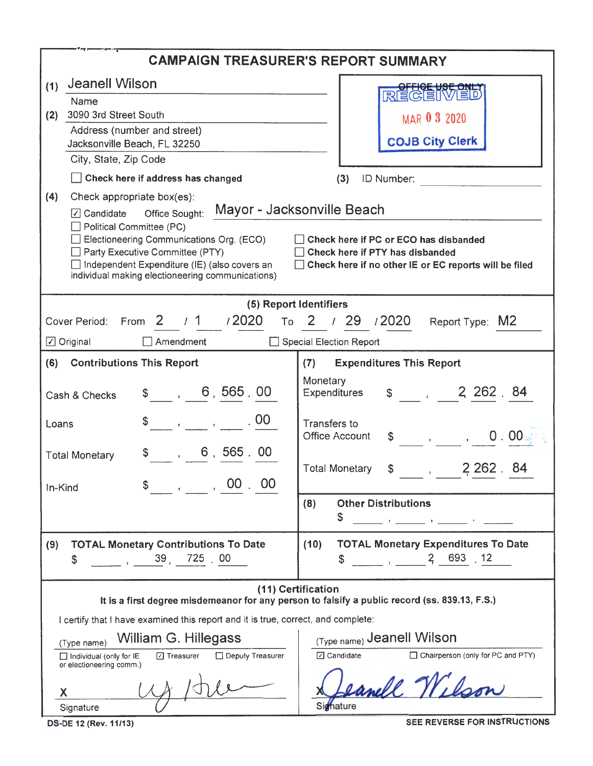| <b>CAMPAIGN TREASURER'S REPORT SUMMARY</b>                                                                                                                                       |                                                                                                                                                                                                                                                                                                                                                                                                                                                                                                   |  |  |  |  |  |  |
|----------------------------------------------------------------------------------------------------------------------------------------------------------------------------------|---------------------------------------------------------------------------------------------------------------------------------------------------------------------------------------------------------------------------------------------------------------------------------------------------------------------------------------------------------------------------------------------------------------------------------------------------------------------------------------------------|--|--|--|--|--|--|
| <b>Jeanell Wilson</b><br>(1)                                                                                                                                                     |                                                                                                                                                                                                                                                                                                                                                                                                                                                                                                   |  |  |  |  |  |  |
| Name                                                                                                                                                                             | RECEIVE                                                                                                                                                                                                                                                                                                                                                                                                                                                                                           |  |  |  |  |  |  |
| 3090 3rd Street South<br>(2)<br>Address (number and street)                                                                                                                      | MAR 0 3 2020                                                                                                                                                                                                                                                                                                                                                                                                                                                                                      |  |  |  |  |  |  |
| Jacksonville Beach, FL 32250                                                                                                                                                     | <b>COJB City Clerk</b>                                                                                                                                                                                                                                                                                                                                                                                                                                                                            |  |  |  |  |  |  |
| City, State, Zip Code                                                                                                                                                            |                                                                                                                                                                                                                                                                                                                                                                                                                                                                                                   |  |  |  |  |  |  |
| Check here if address has changed                                                                                                                                                | ID Number:<br>(3)                                                                                                                                                                                                                                                                                                                                                                                                                                                                                 |  |  |  |  |  |  |
| (4)<br>Check appropriate box(es):                                                                                                                                                |                                                                                                                                                                                                                                                                                                                                                                                                                                                                                                   |  |  |  |  |  |  |
| $\boxed{\mathcal{C}}$ Candidate Office Sought:<br>Political Committee (PC)                                                                                                       | Mayor - Jacksonville Beach                                                                                                                                                                                                                                                                                                                                                                                                                                                                        |  |  |  |  |  |  |
| Electioneering Communications Org. (ECO)                                                                                                                                         | │ │ Check here if PC or ECO has disbanded                                                                                                                                                                                                                                                                                                                                                                                                                                                         |  |  |  |  |  |  |
| Party Executive Committee (PTY)<br>Independent Expenditure (IE) (also covers an                                                                                                  | Check here if PTY has disbanded<br>$\Box$ Check here if no other IE or EC reports will be filed                                                                                                                                                                                                                                                                                                                                                                                                   |  |  |  |  |  |  |
| individual making electioneering communications)                                                                                                                                 |                                                                                                                                                                                                                                                                                                                                                                                                                                                                                                   |  |  |  |  |  |  |
| (5) Report Identifiers                                                                                                                                                           |                                                                                                                                                                                                                                                                                                                                                                                                                                                                                                   |  |  |  |  |  |  |
| From $2 \t/1 \t/2020$<br>Cover Period:                                                                                                                                           | To 2 / 29 / 2020<br>Report Type: M2                                                                                                                                                                                                                                                                                                                                                                                                                                                               |  |  |  |  |  |  |
| $\Box$ Original<br>$\sqcap$ Amendment                                                                                                                                            | Special Election Report                                                                                                                                                                                                                                                                                                                                                                                                                                                                           |  |  |  |  |  |  |
| (6) Contributions This Report                                                                                                                                                    | <b>Expenditures This Report</b><br>(7)                                                                                                                                                                                                                                                                                                                                                                                                                                                            |  |  |  |  |  |  |
|                                                                                                                                                                                  | Monetary                                                                                                                                                                                                                                                                                                                                                                                                                                                                                          |  |  |  |  |  |  |
| \$ , 6, 565, 00<br>Cash & Checks                                                                                                                                                 | $$ -12262.84$<br>Expenditures                                                                                                                                                                                                                                                                                                                                                                                                                                                                     |  |  |  |  |  |  |
| . $00$<br>Loans                                                                                                                                                                  | Transfers to                                                                                                                                                                                                                                                                                                                                                                                                                                                                                      |  |  |  |  |  |  |
|                                                                                                                                                                                  | <b>Office Account</b><br>0.00<br>$\begin{array}{ccccccccccccc}\n\mathbb{S} & & & , & & \phantom{0} & \phantom{0} & \phantom{0} & \phantom{0} & \phantom{0} & \phantom{0} & \phantom{0} & \phantom{0} & \phantom{0} & \phantom{0} & \phantom{0} & \phantom{0} & \phantom{0} & \phantom{0} & \phantom{0} & \phantom{0} & \phantom{0} & \phantom{0} & \phantom{0} & \phantom{0} & \phantom{0} & \phantom{0} & \phantom{0} & \phantom{0} & \phantom{0} & \phantom{0} & \phantom{0} & \phantom{0} & \$ |  |  |  |  |  |  |
| \$ 6, 565.00<br><b>Total Monetary</b>                                                                                                                                            | 2 2 6 2 .<br><b>Total Monetary</b><br>\$<br>$\mathcal{L}(\mathcal{L})$                                                                                                                                                                                                                                                                                                                                                                                                                            |  |  |  |  |  |  |
| \$<br>$\overline{\phantom{a}}$ , $\overline{\phantom{a}}$ , $\overline{\phantom{a}}$ , $\overline{\phantom{a}}$ , $\overline{\phantom{a}}$ , $\overline{\phantom{a}}$<br>In-Kind |                                                                                                                                                                                                                                                                                                                                                                                                                                                                                                   |  |  |  |  |  |  |
|                                                                                                                                                                                  | <b>Other Distributions</b><br>(8)                                                                                                                                                                                                                                                                                                                                                                                                                                                                 |  |  |  |  |  |  |
|                                                                                                                                                                                  | \$<br>and the control of the control of the control of                                                                                                                                                                                                                                                                                                                                                                                                                                            |  |  |  |  |  |  |
| <b>TOTAL Monetary Contributions To Date</b><br>(9)                                                                                                                               | <b>TOTAL Monetary Expenditures To Date</b><br>(10)                                                                                                                                                                                                                                                                                                                                                                                                                                                |  |  |  |  |  |  |
| $\frac{39}{1000}$ , $\frac{39}{1000}$ , $\frac{725}{1000}$<br>\$                                                                                                                 | $\begin{array}{ccc} & 2 & 693 & 12 \end{array}$<br>\$                                                                                                                                                                                                                                                                                                                                                                                                                                             |  |  |  |  |  |  |
| (11) Certification                                                                                                                                                               |                                                                                                                                                                                                                                                                                                                                                                                                                                                                                                   |  |  |  |  |  |  |
|                                                                                                                                                                                  | It is a first degree misdemeanor for any person to falsify a public record (ss. 839.13, F.S.)                                                                                                                                                                                                                                                                                                                                                                                                     |  |  |  |  |  |  |
| I certify that I have examined this report and it is true, correct, and complete:                                                                                                |                                                                                                                                                                                                                                                                                                                                                                                                                                                                                                   |  |  |  |  |  |  |
| William G. Hillegass<br>(Type name)                                                                                                                                              | (Type name) Jeanell Wilson                                                                                                                                                                                                                                                                                                                                                                                                                                                                        |  |  |  |  |  |  |
| Deputy Treasurer<br>$\Box$ Treasurer<br>Individual (only for IE<br>or electioneering comm.)                                                                                      | □ Candidate<br>$\Box$ Chairperson (only for PC and PTY)                                                                                                                                                                                                                                                                                                                                                                                                                                           |  |  |  |  |  |  |
| χ                                                                                                                                                                                | anell W.U.                                                                                                                                                                                                                                                                                                                                                                                                                                                                                        |  |  |  |  |  |  |
| Signature                                                                                                                                                                        | Signature                                                                                                                                                                                                                                                                                                                                                                                                                                                                                         |  |  |  |  |  |  |
| DS-DE 12 (Rev. 11/13)                                                                                                                                                            | SEE REVERSE FOR INSTRUCTIONS                                                                                                                                                                                                                                                                                                                                                                                                                                                                      |  |  |  |  |  |  |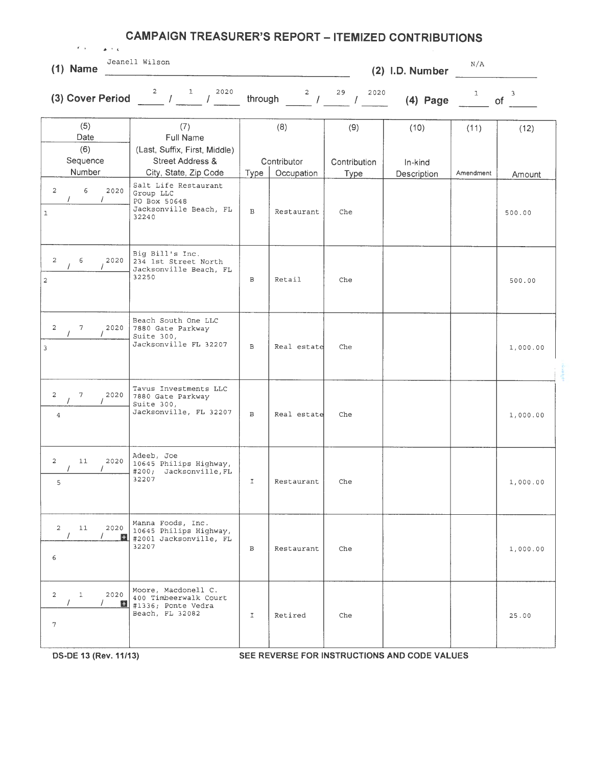| $\mathbf{F}=\mathbf{y}$ , $\mathbf{y}=\mathbf{y}$<br>$\Delta \sim 10$ K. | <b>CAMPAIGN TREASURER'S REPORT - ITEMIZED CONTRIBUTIONS</b>                                                                                                                                                                                                                                                                                                                                                   |               |                                                  |                             |                        |              |                    |
|--------------------------------------------------------------------------|---------------------------------------------------------------------------------------------------------------------------------------------------------------------------------------------------------------------------------------------------------------------------------------------------------------------------------------------------------------------------------------------------------------|---------------|--------------------------------------------------|-----------------------------|------------------------|--------------|--------------------|
| $(1)$ Name                                                               | Jeanell Wilson                                                                                                                                                                                                                                                                                                                                                                                                |               |                                                  |                             | (2) I.D. Number        | N/A          |                    |
|                                                                          | (3) Cover Period $\frac{2}{\sqrt{1-\frac{1}{\sqrt{1-\frac{2020}{\sqrt{1-\frac{1}{\sqrt{1-\frac{2020}{\sqrt{1-\frac{1}{\sqrt{1-\frac{1}{\sqrt{1-\frac{1}{\sqrt{1-\frac{1}{\sqrt{1-\frac{1}{\sqrt{1-\frac{1}{\sqrt{1-\frac{1}{\sqrt{1-\frac{1}{\sqrt{1-\frac{1}{\sqrt{1-\frac{1}{\sqrt{1-\frac{1}{\sqrt{1-\frac{1}{\sqrt{1-\frac{1}{\sqrt{1-\frac{1}{\sqrt{1-\frac{1}{\sqrt{1-\frac{1}{\sqrt{1-\frac{1}{\sqrt{$ | through       | $\begin{array}{cc} 2 & 29 \\ 1 & 29 \end{array}$ | 29<br>2020                  | $(4)$ Page             | $\mathbf{1}$ | $\mathbf{3}$<br>of |
| (5)<br>Date<br>(6)                                                       | (7)<br>Full Name<br>(Last, Suffix, First, Middle)                                                                                                                                                                                                                                                                                                                                                             |               | (8)                                              | (9)                         | (10)                   | (11)         | (12)               |
| Sequence<br>Number                                                       | Street Address &<br>City, State, Zip Code                                                                                                                                                                                                                                                                                                                                                                     | Type          | Contributor<br>Occupation                        | Contribution<br><b>Type</b> | In-kind<br>Description | Amendment    | Amount             |
| $\overline{a}$<br>6<br>2020<br>T<br>$\mathbf 1$                          | Salt Life Restaurant<br>Group LLC<br>PO Box 50648<br>Jacksonville Beach, FL<br>32240                                                                                                                                                                                                                                                                                                                          | $\mathbf{B}$  | Restaurant                                       | Che                         |                        |              | 500.00             |
| 2<br>6<br>2020<br>$\mathbf 2$                                            | Big Bill's Inc.<br>234 1st Street North<br>Jacksonville Beach, FL<br>32250                                                                                                                                                                                                                                                                                                                                    | В             | Retail                                           | Che                         |                        |              | 500.00             |
| $\overline{a}$<br>7<br>2020<br>$\overline{\mathbf{3}}$                   | Beach South One LLC<br>7880 Gate Parkway<br>Suite 300,<br>Jacksonville FL 32207                                                                                                                                                                                                                                                                                                                               | $\,$ B        | Real estate                                      | Che                         |                        |              | 1,000.00           |
| $\overline{a}$<br>$7^{\circ}$<br>2020<br>$\overline{4}$                  | Tavus Investments LLC<br>7880 Gate Parkway<br>Suite 300,<br>Jacksonville, FL 32207                                                                                                                                                                                                                                                                                                                            | B             | Real estate                                      | Che                         |                        |              | 1,000.00           |
| 2020<br>$\mathbf{2}$<br>11<br>$\prime$<br>$\prime$<br>5                  | Adeeb, Joe<br>10645 Philips Highway,<br>#200; Jacksonville, FL<br>32207                                                                                                                                                                                                                                                                                                                                       | $\mathbbm{I}$ | Restaurant                                       | Che                         |                        |              | 1,000.00           |
| $\overline{a}$<br>11<br>2020<br>6                                        | Manna Foods, Inc.<br>10645 Philips Highway,<br>#2001 Jacksonville, FL<br>32207                                                                                                                                                                                                                                                                                                                                | B             | Restaurant                                       | Che                         |                        |              | 1,000.00           |
| 2020<br>$\mathbf{1}$<br>$\overline{2}$<br>7                              | Moore, Macdonell C.<br>400 Timbeerwalk Court<br>H<br>#1336; Ponte Vedra<br>Beach, FL 32082                                                                                                                                                                                                                                                                                                                    | $\mathbf{I}$  | Retired                                          | Che                         |                        |              | 25.00              |

**DS·DE 13 (Rev.11/13) SEE REVERSE FOR INSTRUCTIONS AND CODE VALUES**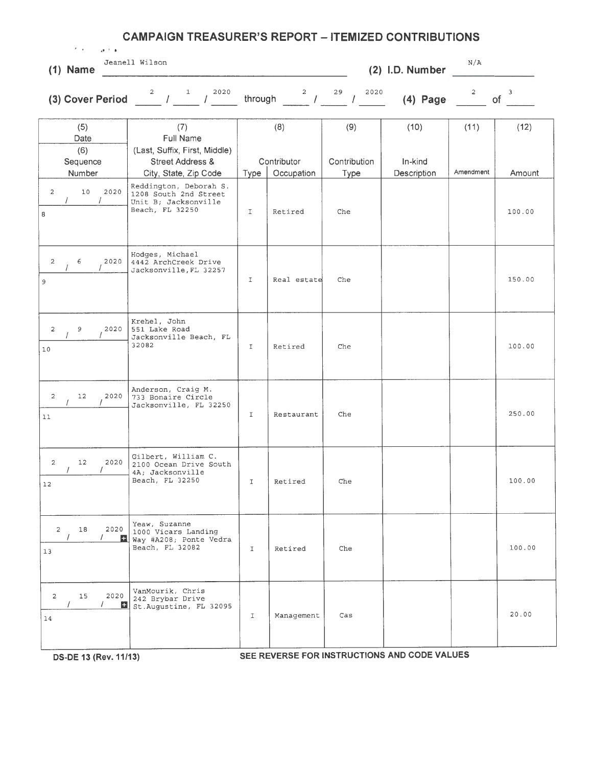| $\mathcal{T}=\mathfrak{q}$ .<br>$\mathbf{A}^{(k-1)}$ . As | <b>CAMPAIGN TREASURER'S REPORT - ITEMIZED CONTRIBUTIONS</b>                                                         |                       |                           |                     |                 |                |                  |
|-----------------------------------------------------------|---------------------------------------------------------------------------------------------------------------------|-----------------------|---------------------------|---------------------|-----------------|----------------|------------------|
| $(1)$ Name                                                | Jeanell Wilson                                                                                                      |                       |                           |                     | (2) I.D. Number | N/A            |                  |
|                                                           | (3) Cover Period $\frac{2}{7}$ $\frac{1}{7}$ $\frac{2020}{7}$                                                       | through               | $2^{\circ}$<br>$\sqrt{1}$ | 29<br>2020          | $(4)$ Page      | $\overline{c}$ | 3<br><b>of</b>   |
| (5)<br>Date<br>(6)<br>Sequence                            | (7)<br>Full Name<br>(Last, Suffix, First, Middle)<br>Street Address &                                               |                       | (8)<br>Contributor        | (9)<br>Contribution | (10)<br>In-kind | (11)           | (12)             |
| Number<br>$\overline{c}$<br>10<br>2020<br>8               | City, State, Zip Code<br>Reddington, Deborah S.<br>1208 South 2nd Street<br>Unit B; Jacksonville<br>Beach, FL 32250 | Type<br>$\mathbbm{I}$ | Occupation<br>Retired     | Type<br>Che         | Description     | Amendment      | Amount<br>100.00 |
| 2<br>6<br>2020<br>9                                       | Hodges, Michael<br>4442 ArchCreek Drive<br>Jacksonville, FL 32257                                                   | $\mathbf I$           | Real estate               | Che                 |                 |                | 150.00           |
| $\overline{2}$<br>9<br>2020<br>10                         | Krehel, John<br>551 Lake Road<br>Jacksonville Beach, FL<br>32082                                                    | $\mathbf I$           | Retired                   | Che                 |                 |                | 100.00           |
| 12<br>2020<br>$\overline{c}$<br>$11\,$                    | Anderson, Craig M.<br>733 Bonaire Circle<br>Jacksonville, FL 32250                                                  | I                     | Restaurant                | Che                 |                 |                | 250.00           |
| 2020<br>$2^{\circ}$<br>12<br>12                           | Gilbert, William C.<br>2100 Ocean Drive South<br>4A; Jacksonville<br>Beach, FL 32250                                | $\mathbb{I}$          | Retired                   | Che                 |                 |                | 100.00           |
| 2020<br>$\overline{2}$<br>18<br>13                        | Yeaw, Suzanne<br>1000 Vicars Landing<br>Way #A208; Ponte Vedra<br>Beach, FL 32082                                   | $\mathbf{I}$          | Retired                   | Che                 |                 |                | 100.00           |
| 2020<br>$\overline{2}$<br>15<br>14                        | VanMourik, Chris<br>242 Brybar Drive<br>St. Augustine, FL 32095                                                     | $\mathbf I$           | Management                | Cas                 |                 |                | 20.00            |
|                                                           |                                                                                                                     |                       |                           |                     |                 |                |                  |

**OS-DE 13 (Rev.11/13) SEE REVERSE FOR INSTRUCTIONS AND CODE VALUES**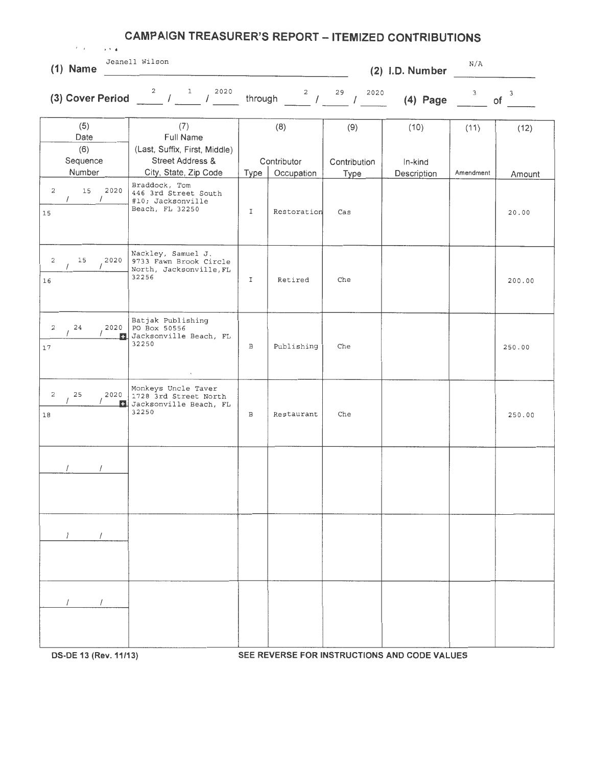|                      | <b>CAMPAIGN TREASURER'S REPORT - ITEMIZED CONTRIBUTIONS</b><br>$\lambda$ - $\lambda$ - $\lambda$<br>All and the con- |                    |                                                                                                                      |           |                           |                     |                 |                         |                    |
|----------------------|----------------------------------------------------------------------------------------------------------------------|--------------------|----------------------------------------------------------------------------------------------------------------------|-----------|---------------------------|---------------------|-----------------|-------------------------|--------------------|
|                      | $(1)$ Name                                                                                                           |                    | Jeanell Wilson                                                                                                       |           | $\overline{a}$            |                     | (2) I.D. Number | N/A                     |                    |
|                      |                                                                                                                      |                    | (3) Cover Period $\frac{2}{\sqrt{1-\frac{1}{2020}}}$ / $\frac{1}{2020}$ through $\frac{2}{\sqrt{1-\frac{29}{2020}}}$ |           |                           |                     | $(4)$ Page      | $\overline{\mathbf{3}}$ | $\mathbf{3}$<br>of |
|                      | (5)<br>Date<br>(6)<br>Sequence                                                                                       |                    | (7)<br>Full Name<br>(Last, Suffix, First, Middle)<br><b>Street Address &amp;</b>                                     |           | (8)<br>Contributor        | (9)<br>Contribution | (10)<br>In-kind | (11)                    | (12)               |
| 2<br>15              | Number<br>15<br>$\prime$                                                                                             | 2020<br>$\sqrt{2}$ | City, State, Zip Code<br>Braddock, Tom<br>446 3rd Street South<br>#10; Jacksonville<br>Beach, FL 32250               | Type<br>I | Occupation<br>Restoration | Type<br>Cas         | Description     | Amendment               | Amount<br>20.00    |
| 2<br>16              | 15                                                                                                                   | 2020               | Nackley, Samuel J.<br>9733 Fawn Brook Circle<br>North, Jacksonville, FL<br>32256                                     | I.        | Retired                   | Che                 |                 |                         | 200.00             |
| $\overline{2}$<br>17 | 24                                                                                                                   | 2020<br>F.         | Batjak Publishing<br>PO Box 50556<br>Jacksonville Beach, FL<br>32250<br>$\sim$ $\sim$                                | В         | Publishing                | Che                 |                 |                         | 250.00             |
| $\overline{c}$<br>18 | 25                                                                                                                   | 2020               | Monkeys Uncle Taver<br>1728 3rd Street North<br>Jacksonville Beach, FL<br>32250                                      | В         | Restaurant                | Che                 |                 |                         | 250.00             |
|                      |                                                                                                                      |                    |                                                                                                                      |           |                           |                     |                 |                         |                    |
|                      | $\sqrt{2}$                                                                                                           | $\prime$           |                                                                                                                      |           |                           |                     |                 |                         |                    |
|                      |                                                                                                                      |                    |                                                                                                                      |           |                           |                     |                 |                         |                    |

**DS-DE 13 (Rev. 11/13) SEE REVERSE FOR INSTRUCTIONS AND CODE VALUES**